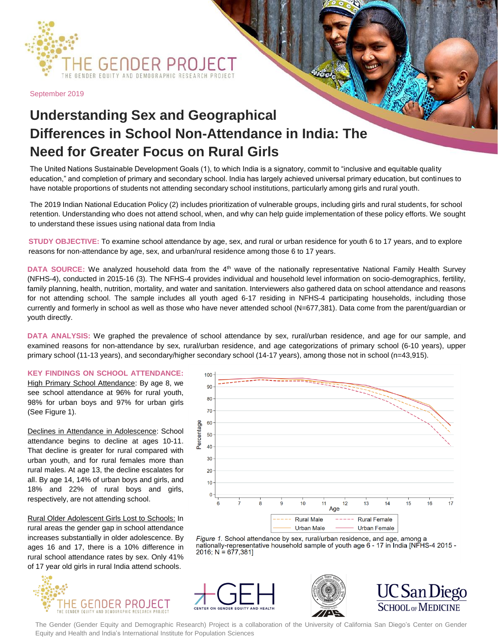

September 2019

# **Understanding Sex and Geographical Differences in School Non-Attendance in India: The Need for Greater Focus on Rural Girls**

The United Nations Sustainable Development Goals (1), to which India is a signatory, commit to "inclusive and equitable quality education," and completion of primary and secondary school. India has largely achieved universal primary education, but continues to have notable proportions of students not attending secondary school institutions, particularly among girls and rural youth.

The 2019 Indian National Education Policy (2) includes prioritization of vulnerable groups, including girls and rural students, for school retention. Understanding who does not attend school, when, and why can help guide implementation of these policy efforts. We sought to understand these issues using national data from India

**STUDY OBJECTIVE:** To examine school attendance by age, sex, and rural or urban residence for youth 6 to 17 years, and to explore reasons for non-attendance by age, sex, and urban/rural residence among those 6 to 17 years.

DATA SOURCE: We analyzed household data from the 4<sup>th</sup> wave of the nationally representative National Family Health Survey (NFHS-4), conducted in 2015-16 (3). The NFHS-4 provides individual and household level information on socio-demographics, fertility, family planning, health, nutrition, mortality, and water and sanitation. Interviewers also gathered data on school attendance and reasons for not attending school. The sample includes all youth aged 6-17 residing in NFHS-4 participating households, including those currently and formerly in school as well as those who have never attended school (N=677,381). Data come from the parent/guardian or youth directly.

**DATA ANALYSIS:** We graphed the prevalence of school attendance by sex, rural/urban residence, and age for our sample, and examined reasons for non-attendance by sex, rural/urban residence, and age categorizations of primary school (6-10 years), upper primary school (11-13 years), and secondary/higher secondary school (14-17 years), among those not in school (n=43,915).

**KEY FINDINGS ON SCHOOL ATTENDANCE:** High Primary School Attendance: By age 8, we see school attendance at 96% for rural youth, 98% for urban boys and 97% for urban girls (See Figure 1).

Declines in Attendance in Adolescence: School attendance begins to decline at ages 10-11. That decline is greater for rural compared with urban youth, and for rural females more than rural males. At age 13, the decline escalates for all. By age 14, 14% of urban boys and girls, and 18% and 22% of rural boys and girls, respectively, are not attending school.

Rural Older Adolescent Girls Lost to Schools: In rural areas the gender gap in school attendance increases substantially in older adolescence. By ages 16 and 17, there is a 10% difference in rural school attendance rates by sex. Only 41% of 17 year old girls in rural India attend schools.













The Gender (Gender Equity and Demographic Research) Project is a collaboration of the University of California San Diego's Center on Gender Equity and Health and India's International Institute for Population Sciences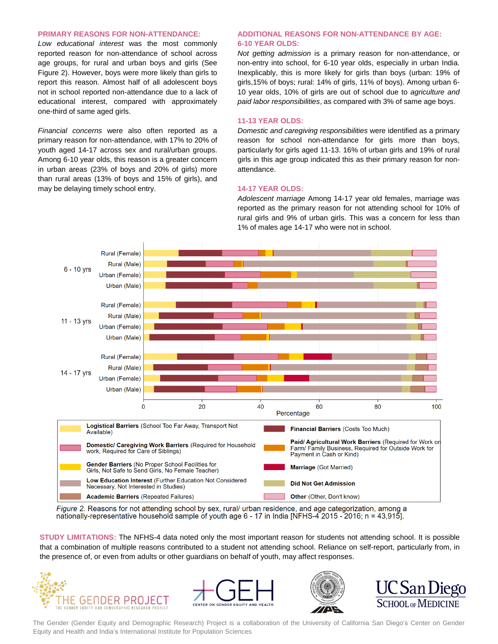#### **PRIMARY REASONS FOR NON-ATTENDANCE:**

*Low educational interest* was the most commonly reported reason for non-attendance of school across age groups, for rural and urban boys and girls (See Figure 2). However, boys were more likely than girls to report this reason. Almost half of all adolescent boys not in school reported non-attendance due to a lack of educational interest, compared with approximately one-third of same aged girls.

*Financial concerns* were also often reported as a primary reason for non-attendance, with 17% to 20% of youth aged 14-17 across sex and rural/urban groups. Among 6-10 year olds, this reason is a greater concern in urban areas (23% of boys and 20% of girls) more than rural areas (13% of boys and 15% of girls), and may be delaying timely school entry.

### **ADDITIONAL REASONS FOR NON-ATTENDANCE BY AGE: 6-10 YEAR OLDS:**

*Not getting admission* is a primary reason for non-attendance, or non-entry into school, for 6-10 year olds, especially in urban India. Inexplicably, this is more likely for girls than boys (urban: 19% of girls,15% of boys; rural: 14% of girls, 11% of boys). Among urban 6- 10 year olds, 10% of girls are out of school due to *agriculture and paid labor responsibilities*, as compared with 3% of same age boys.

#### **11-13 YEAR OLDS:**

*Domestic and caregiving responsibilities* were identified as a primary reason for school non-attendance for girls more than boys, particularly for girls aged 11-13. 16% of urban girls and 19% of rural girls in this age group indicated this as their primary reason for nonattendance.

#### **14-17 YEAR OLDS:**

*Adolescent marriage* Among 14-17 year old females, marriage was reported as the primary reason for not attending school for 10% of rural girls and 9% of urban girls. This was a concern for less than 1% of males age 14-17 who were not in school.



Figure 2. Reasons for not attending school by sex, rural/ urban residence, and age categorization, among a nationally-representative household sample of youth age 6 - 17 in India [NFHS-4 2015 - 2016; n = 43,915].

**STUDY LIMITATIONS:** The NFHS-4 data noted only the most important reason for students not attending school. It is possible that a combination of multiple reasons contributed to a student not attending school. Reliance on self-report, particularly from, in the presence of, or even from adults or other guardians on behalf of youth, may affect responses.









The Gender (Gender Equity and Demographic Research) Project is a collaboration of the University of California San Diego's Center on Gender Equity and Health and India's International Institute for Population Sciences